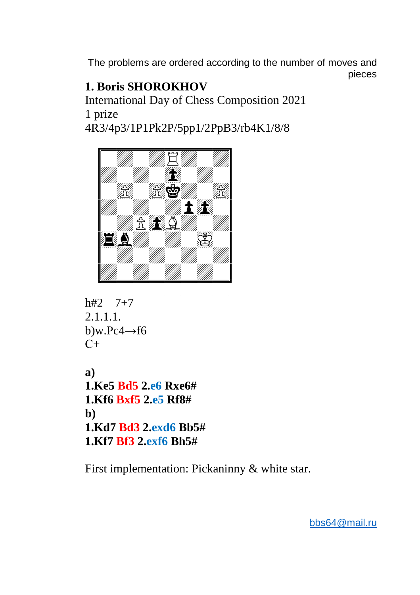# **1. Boris SHOROKHOV**

International Day of Chess Composition 2021 1 prize 4R3/4p3/1P1Pk2P/5pp1/2PpB3/rb4K1/8/8



```
h#2 7+7
2.1.1.1. 
b)w.Pc4\rightarrowf6
C+
```
**a) 1.Ke5 Bd5 2.e6 Rxe6# 1.Kf6 Bxf5 2.e5 Rf8# b) 1.Kd7 Bd3 2.exd6 Bb5# 1.Kf7 Bf3 2.exf6 Bh5#** 

First implementation: Pickaninny & white star.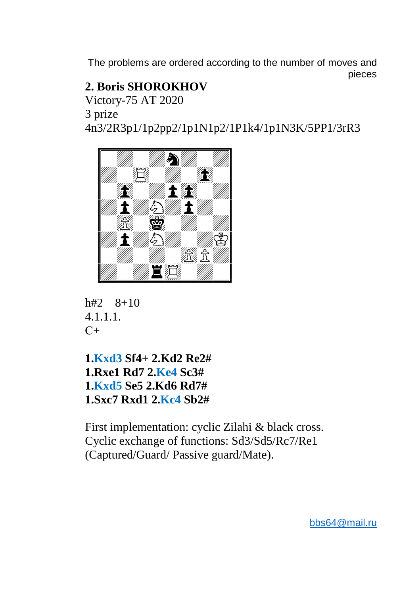## **2. Boris SHOROKHOV**

Victory-75 AT 2020

3 prize

4n3/2R3p1/1p2pp2/1p1N1p2/1P1k4/1p1N3K/5PP1/3rR3





**1.Kxd3 Sf4+ 2.Kd2 Re2# 1.Rxe1 Rd7 2.Ke4 Sc3# 1.Kxd5 Se5 2.Kd6 Rd7# 1.Sxc7 Rxd1 2.Kc4 Sb2#** 

First implementation: cyclic Zilahi & black cross. Cyclic exchange of functions: Sd3/Sd5/Rc7/Re1 (Captured/Guard/ Passive guard/Mate).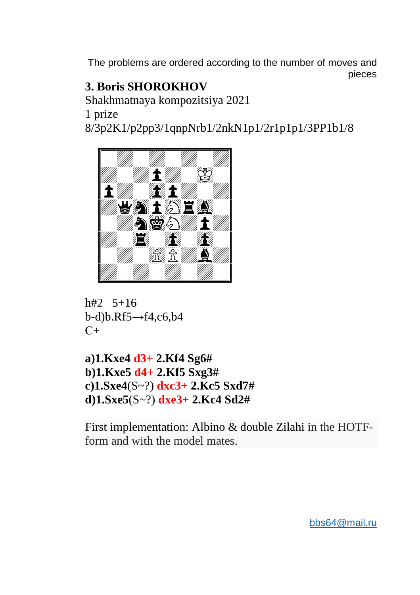### **3. Boris SHOROKHOV**

Shakhmatnaya kompozitsiya 2021

1 prize

8/3p2K1/p2pp3/1qnpNrb1/2nkN1p1/2r1p1p1/3PP1b1/8



 $h#2$ , 5+16  $b-d)b.Rf5 \rightarrow f4, c6, b4$  $C_{\pm}$ 

a)1.Kxe4  $d3+2$ .Kf4 Sg6# b)1.Kxe5  $d4+2.$ Kf5 Sxg3# c)1.Sxe4(S~?)  $dxc3+2$ .Kc5 Sxd7# d)1.Sxe5(S~?)  $dx = 3 + 2$ .Kc4 Sd2#

First implementation: Albino & double Zilahi in the HOTFform and with the model mates.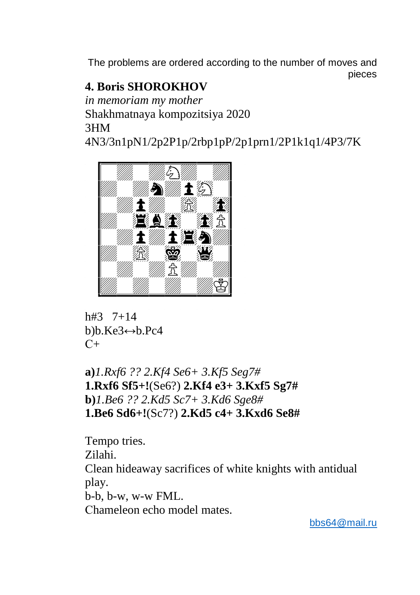## **4. Boris SHOROKHOV**

*in memoriam my mother*  Shakhmatnaya kompozitsiya 2020 3HM

4N3/3n1pN1/2p2P1p/2rbp1pP/2p1prn1/2P1k1q1/4P3/7K



h#3 7+14 b)b.Ke3↔b.Pc4  $C_{+}$ 

**a)***1.Rxf6 ?? 2.Kf4 Se6+ 3.Kf5 Seg7#* **1.Rxf6 Sf5+!**(Se6?) **2.Kf4 e3+ 3.Kxf5 Sg7# b)***1.Be6 ?? 2.Kd5 Sc7+ 3.Kd6 Sge8#*  **1.Be6 Sd6+!**(Sc7?) **2.Kd5 c4+ 3.Kxd6 Se8#** 

Tempo tries. Zilahi. Clean hideaway sacrifices of white knights with antidual play. b-b, b-w, w-w FML. Сhameleon echo model mates.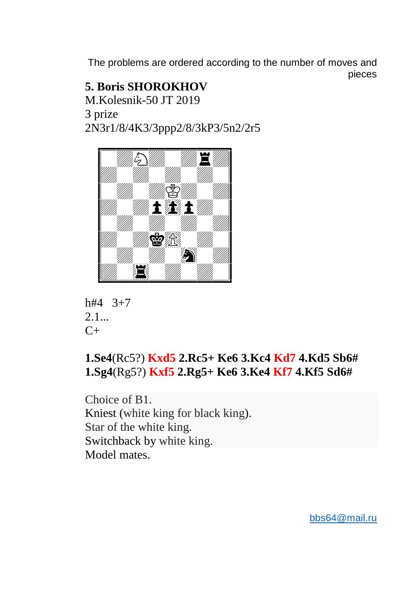#### **5. Boris SHOROKHOV**  M.Kolesnik-50 JT 2019 3 prize 2N3r1/8/4K3/3ppp2/8/3kP3/5n2/2r5



h#4 3+7  $2.1...$  $C_{+}$ 

## **1.Se4**(Rc5?) **Kxd5 2.Rc5+ Ke6 3.Kc4 Kd7 4.Kd5 Sb6# 1.Sg4**(Rg5?) **Kxf5 2.Rg5+ Ke6 3.Ke4 Kf7 4.Kf5 Sd6#**

Choice of B1. Kniest (white king for black king). Star of the white king. Switchback by white king. Model mates.